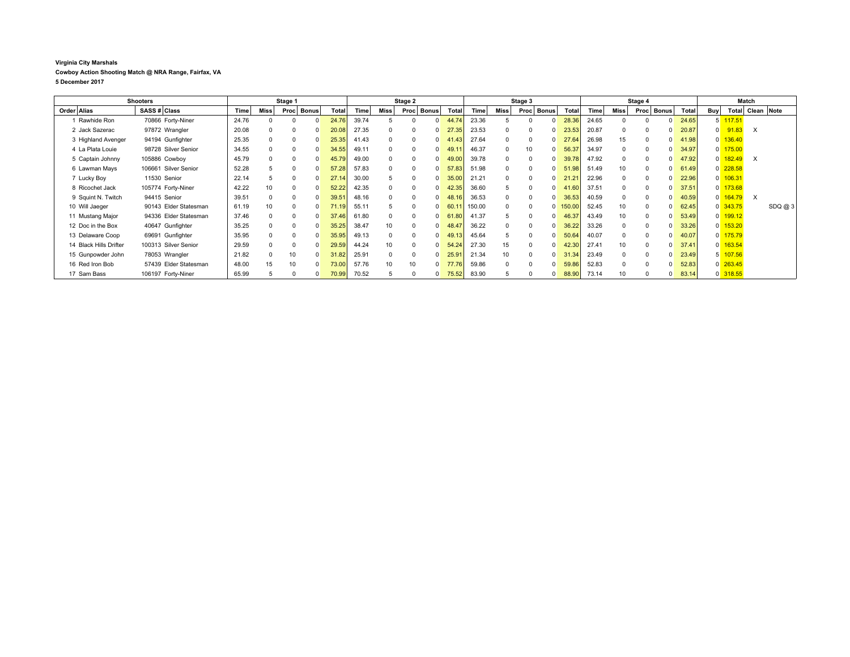## **Virginia City Marshals Cowboy Action Shooting Match @ NRA Range, Fairfax, VA 5 December 2017**

| <b>Shooters</b>        |                       | Stage 1 |          |          |              | Stage 2 |       |          |          | Stage 3      |       |        |          | Stage 4              |            |       |          | Match        |   |       |                |            |                  |       |
|------------------------|-----------------------|---------|----------|----------|--------------|---------|-------|----------|----------|--------------|-------|--------|----------|----------------------|------------|-------|----------|--------------|---|-------|----------------|------------|------------------|-------|
| Order Alias            | SASS # Class          | Time    | Miss     | Proc     | <b>Bonus</b> | Total   | Time  | Miss     | Proc     | <b>Bonus</b> | Total | Time   | Miss     | <b>Bonus</b><br>Proc | Total      | Time  | Miss     | Proc Bonus   |   | Total | <b>Buy</b>     |            | Total Clean Note |       |
| Rawhide Ron            | 70866 Forty-Niner     | 24.76   |          |          | <sup>0</sup> | 24.7    | 39.74 |          |          |              | 44.74 | 23.36  |          |                      | 28.36      | 24.65 |          | $\Omega$     |   | 24.65 | 5              | 117.51     |                  |       |
| 2 Jack Sazerac         | 97872 Wrangler        | 20.08   | $\Omega$ |          | $\Omega$     | 20.0    | 27.35 | $\Omega$ | $\Omega$ |              | 27.35 | 23.53  | $\Omega$ | $\Omega$             | 23.53      | 20.87 |          | $\Omega$     |   | 20.87 | $\Omega$       | 91.83      | $\times$         |       |
| 3 Highland Avenger     | 94194 Gunfighter      | 25.35   | $\Omega$ |          | $\Omega$     | 25.35   | 41.43 | $\Omega$ | $\Omega$ |              | 41.43 | 27.64  | $\Omega$ | 0<br>$\Omega$        | 27.64      | 26.98 | 15       | $\Omega$     | n | 41.98 | $\overline{0}$ | 136.40     |                  |       |
| 4 La Plata Louie       | 98728 Silver Senior   | 34.55   | $\Omega$ | $\Omega$ | $\Omega$     | 34.55   | 49.1' | $\Omega$ | $\Omega$ |              | 49.1  | 46.37  | $\Omega$ | 10<br>$\Omega$       | 56.37      | 34.97 | $\Omega$ | $\Omega$     |   | 34.97 | $\overline{0}$ | 175.00     |                  |       |
| 5 Captain Johnny       | 105886 Cowboy         | 45.79   |          | $\Omega$ | $\Omega$     | 45.7    | 49.00 | $\Omega$ | $\Omega$ |              | 49.00 | 39.78  | $\Omega$ | $\Omega$             | 39.78      | 47.92 | $\Omega$ | $\Omega$     |   | 47.92 | $\Omega$       | 182.49     | $\times$         |       |
| 6 Lawman Mays          | 106661 Silver Senior  | 52.28   |          |          | $\Omega$     | 57.28   | 57.83 | $\Omega$ | $\Omega$ |              | 57.83 | 51.98  | $\Omega$ |                      | 51.98      | 51.49 | 10       | $\Omega$     |   | 61.49 | $\Omega$       | 228.58     |                  |       |
| 7 Lucky Boy            | 11530 Senior          | 22.14   |          |          | $\Omega$     | 27.1    | 30.00 |          | $\Omega$ |              | 35.00 | 21.21  |          | $\Omega$             | 21.21      | 22.96 |          | $\Omega$     |   | 22.96 |                | $0$ 106.31 |                  |       |
| 8 Ricochet Jack        | 105774 Forty-Niner    | 42.22   | 10       |          | $\Omega$     | 52.22   | 42.35 | $\Omega$ |          |              | 42.35 | 36.60  | 5        | $\Omega$             | 41.60      | 37.51 |          | $\Omega$     |   | 37.51 |                | $0$ 173.68 |                  |       |
| 9 Squint N. Twitch     | 94415 Senior          | 39.51   |          |          | $\Omega$     | 39.5    | 48.16 | $\Omega$ |          |              | 48.16 | 36.53  |          | $\Omega$             | 36.53      | 40.59 |          | $\Omega$     |   | 40.59 | $\overline{0}$ | 164.79     | $\times$         |       |
| 10 Will Jaeger         | 90143 Elder Statesman | 61.19   | 10       |          |              | 71.19   | 55.11 |          | $\Omega$ |              | 60.1  | 150.00 |          |                      | $0$ 150.00 | 52.45 |          | $\Omega$     |   | 62.45 |                | 0 343.75   |                  | SDQ@3 |
| 11 Mustang Major       | 94336 Elder Statesman | 37.46   | $\Omega$ |          |              | 37.46   | 61.80 | $\Omega$ |          |              | 61.80 | 41.37  |          |                      | 46.37      | 43.49 |          | $\Omega$     |   | 53.49 |                | $0$ 199.12 |                  |       |
| 12 Doc in the Box      | 40647 Gunfighter      | 35.25   |          |          |              | 35.25   | 38.47 | 10       |          |              | 48.47 | 36.22  | $\Omega$ |                      | 36.22      | 33.26 |          | $\Omega$     |   | 33.26 |                | $0$ 153.20 |                  |       |
| 13 Delaware Coop       | 69691 Gunfighter      | 35.95   | $\Omega$ |          |              | 35.95   | 49.13 | $\Omega$ | $\Omega$ |              | 49.13 | 45.64  |          |                      | 50.64      | 40.07 |          | $\Omega$     |   | 40.07 |                | 0 175.79   |                  |       |
| 14 Black Hills Drifter | 100313 Silver Senior  | 29.59   | $\Omega$ |          | $\Omega$     | 29.59   | 44.24 | 10       | $\Omega$ |              | 54.24 | 27.30  | 15       | $\Omega$             | 42.30      | 27.41 |          | $\Omega$     |   | 37.41 |                | $0$ 163.54 |                  |       |
| 15 Gunpowder John      | 78053 Wrangler        | 21.82   |          | 10       | $\Omega$     | 31.82   | 25.9' | $\Omega$ | $\Omega$ |              | 25.91 | 21.34  | 10       |                      | 31.34      | 23.49 |          | $\Omega$     |   | 23.49 |                | 107.56     |                  |       |
| 16 Red Iron Bob        | 57439 Elder Statesman | 48.00   | 15       |          |              | 73.00   | 57.76 | 10       | 10       |              | 77.76 | 59.86  |          |                      | 59.86      | 52.83 |          | $\Omega$     |   | 52.83 |                | $0$ 263.45 |                  |       |
| 17 Sam Bass            | 106197 Forty-Niner    | 65.99   |          |          | $\Omega$     | 70.99   | 70.52 |          |          |              | 75.52 | 83.90  |          |                      | 88.90      | 73.14 |          | <sup>0</sup> |   | 83.14 |                | 0 318.55   |                  |       |